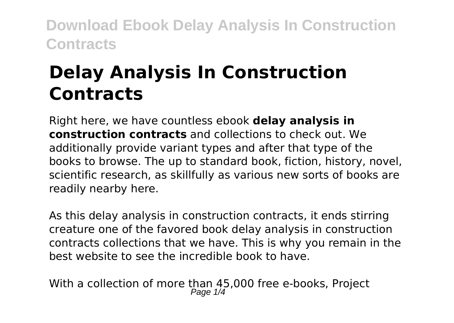# **Delay Analysis In Construction Contracts**

Right here, we have countless ebook **delay analysis in construction contracts** and collections to check out. We additionally provide variant types and after that type of the books to browse. The up to standard book, fiction, history, novel, scientific research, as skillfully as various new sorts of books are readily nearby here.

As this delay analysis in construction contracts, it ends stirring creature one of the favored book delay analysis in construction contracts collections that we have. This is why you remain in the best website to see the incredible book to have.

With a collection of more than 45,000 free e-books, Project<br>Page 1/4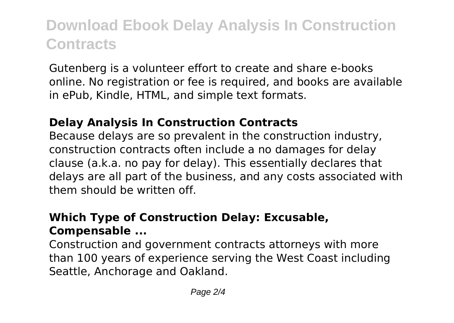Gutenberg is a volunteer effort to create and share e-books online. No registration or fee is required, and books are available in ePub, Kindle, HTML, and simple text formats.

#### **Delay Analysis In Construction Contracts**

Because delays are so prevalent in the construction industry, construction contracts often include a no damages for delay clause (a.k.a. no pay for delay). This essentially declares that delays are all part of the business, and any costs associated with them should be written off.

### **Which Type of Construction Delay: Excusable, Compensable ...**

Construction and government contracts attorneys with more than 100 years of experience serving the West Coast including Seattle, Anchorage and Oakland.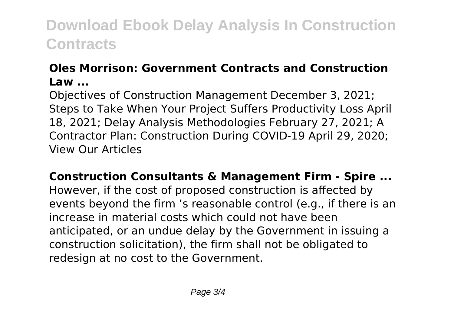### **Oles Morrison: Government Contracts and Construction Law ...**

Objectives of Construction Management December 3, 2021; Steps to Take When Your Project Suffers Productivity Loss April 18, 2021; Delay Analysis Methodologies February 27, 2021; A Contractor Plan: Construction During COVID-19 April 29, 2020; View Our Articles

**Construction Consultants & Management Firm - Spire ...** However, if the cost of proposed construction is affected by events beyond the firm 's reasonable control (e.g., if there is an increase in material costs which could not have been anticipated, or an undue delay by the Government in issuing a construction solicitation), the firm shall not be obligated to redesign at no cost to the Government.